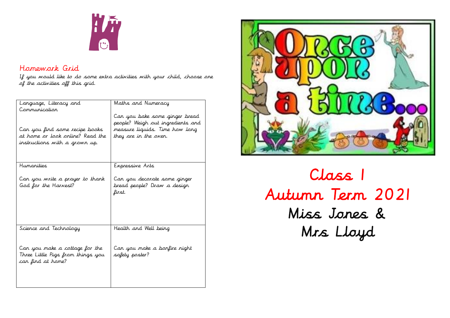

# Homework Grid

If you would like to do some extra activities with your child, choose one of the activities off this grid.

| Language, Literacy and            | Maths and Numeracy                |
|-----------------------------------|-----------------------------------|
| Communication                     |                                   |
|                                   | Can you bake some ginger bread    |
|                                   | people? Weigh out ingredients and |
| Can you find some recipe books    | measure liquids. Time how long    |
| at home or look online? Read the  | they are in the oven.             |
| instructions with a grown up.     |                                   |
|                                   |                                   |
|                                   |                                   |
| Humanities                        | Expressive Arts                   |
|                                   |                                   |
| Can you write a prayer to thank   | Can you decorate some ginger      |
| God for the Harvest?              | bread people? Draw a design       |
|                                   | first.                            |
|                                   |                                   |
|                                   |                                   |
|                                   |                                   |
|                                   |                                   |
| Science and Technology            | Health and Well being             |
|                                   |                                   |
|                                   |                                   |
| Can you make a cottage for the    | Can you make a bonfire night      |
| Three Little Pigs from things you | safety poster?                    |
| can find at home?                 |                                   |
|                                   |                                   |
|                                   |                                   |
|                                   |                                   |



Class 1 Autumn Term 2021 Miss Jones & Mrs Lloyd